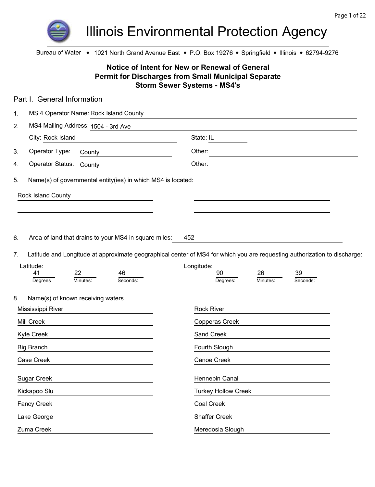

Illinois Environmental Protection Agency

Bureau of Water • 1021 North Grand Avenue East • P.O. Box 19276 • Springfield • Illinois • 62794-9276

## **Notice of Intent for New or Renewal of General Permit for Discharges from Small Municipal Separate Storm Sewer Systems - MS4's**

| Part I. General Information                                        |                                                                                                                           |  |
|--------------------------------------------------------------------|---------------------------------------------------------------------------------------------------------------------------|--|
| MS 4 Operator Name: Rock Island County<br>1.                       |                                                                                                                           |  |
| MS4 Mailing Address: 1504 - 3rd Ave<br>2.                          |                                                                                                                           |  |
| City: Rock Island                                                  | State: IL                                                                                                                 |  |
| Operator Type:<br>3.<br>County                                     | Other:                                                                                                                    |  |
| Operator Status:<br>4.<br>County                                   | Other:                                                                                                                    |  |
| Name(s) of governmental entity(ies) in which MS4 is located:<br>5. |                                                                                                                           |  |
| Rock Island County                                                 |                                                                                                                           |  |
|                                                                    |                                                                                                                           |  |
|                                                                    |                                                                                                                           |  |
| Area of land that drains to your MS4 in square miles:<br>6.        | 452                                                                                                                       |  |
| 7.                                                                 | Latitude and Longitude at approximate geographical center of MS4 for which you are requesting authorization to discharge: |  |
| Latitude:                                                          | Longitude:                                                                                                                |  |
| 22<br>46<br>41<br>Minutes:<br>Seconds:<br>Degrees                  | 90<br>26<br>39<br>Seconds:<br>Degrees:<br>Minutes:                                                                        |  |
|                                                                    |                                                                                                                           |  |
| 8.<br>Name(s) of known receiving waters                            |                                                                                                                           |  |
| Mississippi River                                                  | <b>Rock River</b>                                                                                                         |  |
| Mill Creek                                                         | Copperas Creek                                                                                                            |  |
| Kyte Creek                                                         | Sand Creek                                                                                                                |  |
| <b>Big Branch</b>                                                  | Fourth Slough                                                                                                             |  |
| Case Creek                                                         | Canoe Creek                                                                                                               |  |
| <b>Sugar Creek</b>                                                 | Hennepin Canal                                                                                                            |  |
| Kickapoo Slu                                                       | <b>Turkey Hollow Creek</b>                                                                                                |  |
|                                                                    | Coal Creek                                                                                                                |  |
| Fancy Creek                                                        |                                                                                                                           |  |
| Lake George                                                        | <b>Shaffer Creek</b>                                                                                                      |  |
| Zuma Creek                                                         | Meredosia Slough                                                                                                          |  |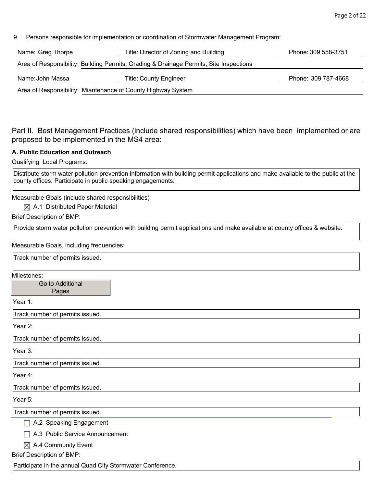9. Persons responsible for implementation or coordination of Stormwater Management Program:

| Name: Greg Thorpe | Title: Director of Zoning and Building                                                 | Phone: 309 558-3751 |
|-------------------|----------------------------------------------------------------------------------------|---------------------|
|                   | Area of Responsibility: Building Permits, Grading & Drainage Permits, Site Inspections |                     |
| Name: John Massa  | <b>Title: County Engineer</b>                                                          | Phone: 309 787-4668 |
|                   | Area of Responsibility: Miantenance of County Highway System                           |                     |

Part II. Best Management Practices (include shared responsibilities) which have been implemented or are proposed to be implemented in the MS4 area:

### **A. Public Education and Outreach**

Qualifying Local Programs:

Distribute storm water pollution prevention information with building permit applications and make available to the public at the county offices. Participate in public speaking engagements.

Measurable Goals (include shared responsibilities)

#### $\boxtimes$  A.1 Distributed Paper Material

Brief Description of BMP:

Provide storm water pollution prevention with building permit applications and make available at county offices & website.

Measurable Goals, including frequencies:

Track number of permits issued.

Milestones:

Go to Additional Pages

Year 1:

Track number of permits issued.

Year 2:

Track number of permits issued.

Year 3:

Track number of permits issued.

Year 4:

Track number of permits issued.

Year 5:

Track number of permits issued.

A.2 Speaking Engagement

A.3 Public Service Announcement

 $\boxtimes$  A.4 Community Event

Brief Description of BMP:

Participate in the annual Quad City Stormwater Conference.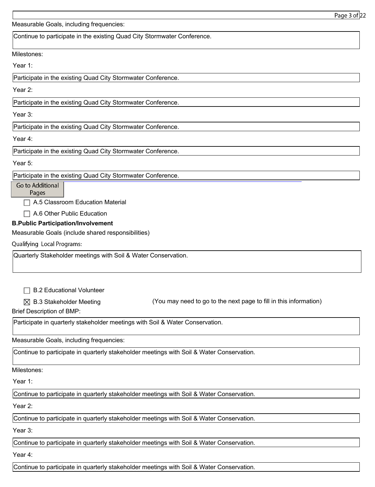Measurable Goals, including frequencies:

Continue to participate in the existing Quad City Stormwater Conference.

Milestones:

Year 1:

Participate in the existing Quad City Stormwater Conference.

Year 2:

Participate in the existing Quad City Stormwater Conference.

Year 3:

Participate in the existing Quad City Stormwater Conference.

Year 4:

Participate in the existing Quad City Stormwater Conference.

Year 5:

Participate in the existing Quad City Stormwater Conference.

Go to Additional

Pages

 $\Box$  A.5 Classroom Education Material

□ A.6 Other Public Education

## **B.Public Participation/Involvement**

Measurable Goals (include shared responsibilities)

**Qualifying Local Programs:** 

Quarterly Stakeholder meetings with Soil & Water Conservation.

□ B.2 Educational Volunteer

 $\boxtimes$  B.3 Stakeholder Meeting  $\cong$  (You may need to go to the next page to fill in this information)

Brief Description of BMP:

Participate in quarterly stakeholder meetings with Soil & Water Conservation.

Measurable Goals, including frequencies:

Continue to participate in quarterly stakeholder meetings with Soil & Water Conservation.

Milestones:

Year 1:

Continue to participate in quarterly stakeholder meetings with Soil & Water Conservation.

Year 2:

Continue to participate in quarterly stakeholder meetings with Soil & Water Conservation.

Year 3:

Continue to participate in quarterly stakeholder meetings with Soil & Water Conservation.

Year 4:

Continue to participate in quarterly stakeholder meetings with Soil & Water Conservation.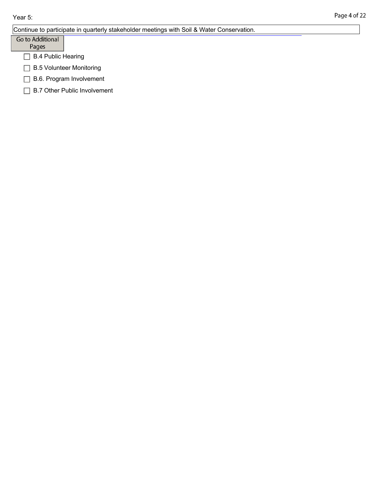|                           | Continue to participate in quarterly stakeholder meetings with Soil & Water Conservation. |  |
|---------------------------|-------------------------------------------------------------------------------------------|--|
| Go to Additional          |                                                                                           |  |
| Pages                     |                                                                                           |  |
| <b>B.4 Public Hearing</b> |                                                                                           |  |
|                           | <b>B.5 Volunteer Monitoring</b>                                                           |  |
| B.6. Program Involvement  |                                                                                           |  |
|                           | <b>B.7 Other Public Involvement</b>                                                       |  |
|                           |                                                                                           |  |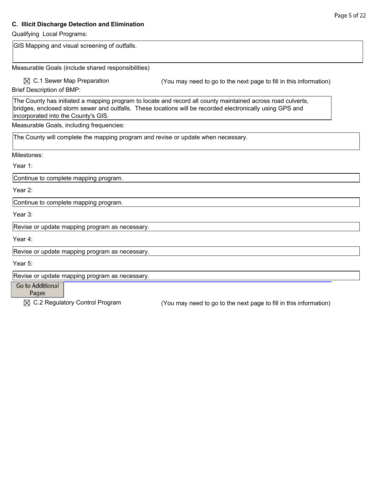### **C. Illicit Discharge Detection and Elimination**

Qualifying Local Programs: GIS Mapping and visual screening of outfalls. Measurable Goals (include shared responsibilities)  $\boxtimes$  C.1 Sewer Map Preparation (You may need to go to the next page to fill in this information) Brief Description of BMP: The County has initiated a mapping program to locate and record all county maintained across road culverts, bridges, enclosed storm sewer and outfalls. These locations will be recorded electronically using GPS and incorporated into the County's GIS. Measurable Goals, including frequencies: The County will complete the mapping program and revise or update when necessary. Milestones: Year 1: Continue to complete mapping program. Year 2: Continue to complete mapping program. Year 3: Revise or update mapping program as necessary. Year 4: Revise or update mapping program as necessary. Year 5: Revise or update mapping program as necessary. Go to Additional Pages  $\boxtimes$  C.2 Regulatory Control Program (You may need to go to the next page to fill in this information)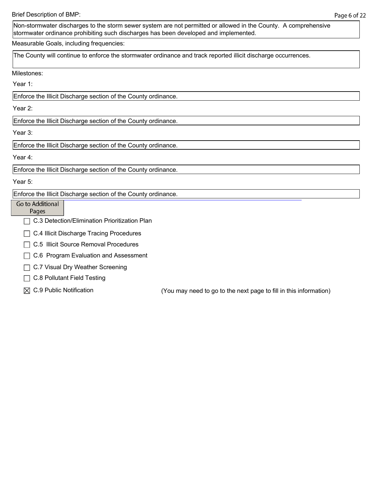Non-stormwater discharges to the storm sewer system are not permitted or allowed in the County. A comprehensive stormwater ordinance prohibiting such discharges has been developed and implemented.

Measurable Goals, including frequencies:

The County will continue to enforce the stormwater ordinance and track reported illicit discharge occurrences.

Milestones:

Year 1:

Enforce the Illicit Discharge section of the County ordinance.

Year 2:

Enforce the Illicit Discharge section of the County ordinance.

Year 3:

Enforce the Illicit Discharge section of the County ordinance.

Year 4:

Enforce the Illicit Discharge section of the County ordinance.

Year 5:

Enforce the Illicit Discharge section of the County ordinance.

Go to Additional Pages

□ C.3 Detection/Elimination Prioritization Plan

 $\Box$  C.4 Illicit Discharge Tracing Procedures

□ C.5 Illicit Source Removal Procedures

◯ C.6 Program Evaluation and Assessment

 $\Box$  C.7 Visual Dry Weather Screening

□ C.8 Pollutant Field Testing

 $\boxtimes$  C.9 Public Notification  $\boxtimes$  (You may need to go to the next page to fill in this information)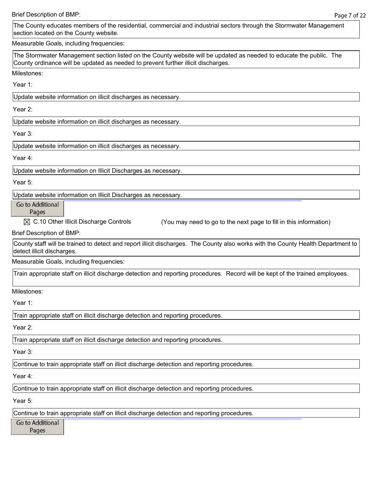Brief Description of BMP:

The County educates members of the residential, commercial and industrial sectors through the Stormwater Management section located on the County website.

Measurable Goals, including frequencies:

The Stormwater Management section listed on the County website will be updated as needed to educate the public. The County ordinance will be updated as needed to prevent further illicit discharges.

Milestones:

Year 1:

Update website information on illicit discharges as necessary.

Year 2:

Update website information on illicit discharges as necessary.

Year 3:

Update website information on illicit discharges as necessary.

Year 4:

Update website information on Illicit Discharges as necessary.

Year 5:

Update website information on Illicit Discharges as necessary.

Go to Additional

Pages

 $\boxtimes$  C.10 Other Illicit Discharge Controls (You may need to go to the next page to fill in this information)

Brief Description of BMP:

County staff will be trained to detect and report illicit discharges. The County also works with the County Health Department to detect illicit discharges.

Measurable Goals, including frequencies:

Train appropriate staff on illicit discharge detection and reporting procedures. Record will be kept of the trained employees.

Milestones:

Year 1:

Train appropriate staff on illicit discharge detection and reporting procedures.

Year 2:

Train appropriate staff on illicit discharge detection and reporting procedures.

Year 3:

Continue to train appropriate staff on illicit discharge detection and reporting procedures.

Year 4:

Continue to train appropriate staff on illicit discharge detection and reporting procedures.

Year 5:

Continue to train appropriate staff on illicit discharge detection and reporting procedures.

Go to Additional

Pages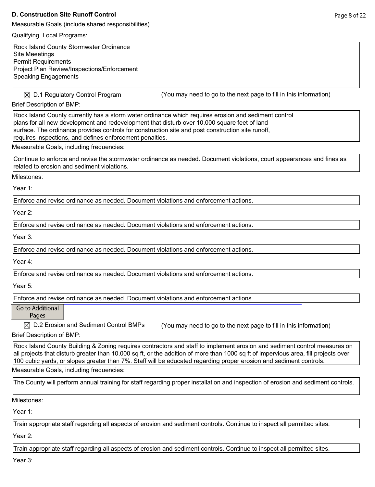#### **D. Construction Site Runoff Control**

Measurable Goals (include shared responsibilities)

Qualifying Local Programs:

Rock Island County Stormwater Ordinance Site Meeetings Permit Requirements Project Plan Review/Inspections/Enforcement Speaking Engagements

 $\boxtimes$  D.1 Regulatory Control Program (You may need to go to the next page to fill in this information)

Brief Description of BMP:

Rock Island County currently has a storm water ordinance which requires erosion and sediment control plans for all new development and redevelopment that disturb over 10,000 square feet of land surface. The ordinance provides controls for construction site and post construction site runoff, requires inspections, and defines enforcement penalties.

Measurable Goals, including frequencies:

Continue to enforce and revise the stormwater ordinance as needed. Document violations, court appearances and fines as related to erosion and sediment violations.

Milestones:

Year 1:

Enforce and revise ordinance as needed. Document violations and enforcement actions.

Year 2:

Enforce and revise ordinance as needed. Document violations and enforcement actions.

Year 3:

Enforce and revise ordinance as needed. Document violations and enforcement actions.

Year 4:

Enforce and revise ordinance as needed. Document violations and enforcement actions.

Year 5:

Enforce and revise ordinance as needed. Document violations and enforcement actions.

Go to Additional

Pages

 $\boxtimes$  D.2 Erosion and Sediment Control BMPs (You may need to go to the next page to fill in this information) Brief Description of BMP:

Rock Island County Building & Zoning requires contractors and staff to implement erosion and sediment control measures on all projects that disturb greater than 10,000 sq ft, or the addition of more than 1000 sq ft of impervious area, fill projects over 100 cubic yards, or slopes greater than 7%. Staff will be educated regarding proper erosion and sediment controls.

Measurable Goals, including frequencies:

The County will perform annual training for staff regarding proper installation and inspection of erosion and sediment controls.

Milestones:

Year 1:

Train appropriate staff regarding all aspects of erosion and sediment controls. Continue to inspect all permitted sites.

Year 2:

Train appropriate staff regarding all aspects of erosion and sediment controls. Continue to inspect all permitted sites.

Year 3: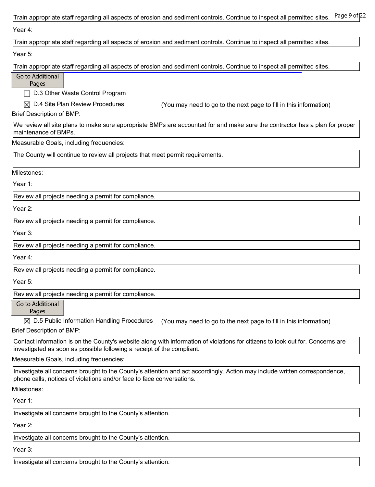| Page 9 of 22<br>Train appropriate staff regarding all aspects of erosion and sediment controls. Continue to inspect all permitted sites.                                                                 |
|----------------------------------------------------------------------------------------------------------------------------------------------------------------------------------------------------------|
| Year 4:                                                                                                                                                                                                  |
| Train appropriate staff regarding all aspects of erosion and sediment controls. Continue to inspect all permitted sites.                                                                                 |
| Year 5:                                                                                                                                                                                                  |
| Train appropriate staff regarding all aspects of erosion and sediment controls. Continue to inspect all permitted sites.                                                                                 |
| Go to Additional<br>Pages                                                                                                                                                                                |
| D.3 Other Waste Control Program                                                                                                                                                                          |
| $\boxtimes$ D.4 Site Plan Review Procedures<br>(You may need to go to the next page to fill in this information)                                                                                         |
| <b>Brief Description of BMP:</b>                                                                                                                                                                         |
| We review all site plans to make sure appropriate BMPs are accounted for and make sure the contractor has a plan for proper<br>maintenance of BMPs.                                                      |
| Measurable Goals, including frequencies:                                                                                                                                                                 |
| The County will continue to review all projects that meet permit requirements.                                                                                                                           |
| Milestones:                                                                                                                                                                                              |
| Year 1:                                                                                                                                                                                                  |
| Review all projects needing a permit for compliance.                                                                                                                                                     |
| Year 2:                                                                                                                                                                                                  |
| Review all projects needing a permit for compliance.                                                                                                                                                     |
| Year 3:                                                                                                                                                                                                  |
| Review all projects needing a permit for compliance.                                                                                                                                                     |
| Year 4:                                                                                                                                                                                                  |
| Review all projects needing a permit for compliance.                                                                                                                                                     |
| Year 5:                                                                                                                                                                                                  |
| Review all projects needing a permit for compliance.                                                                                                                                                     |
| Go to Additional<br>Pages                                                                                                                                                                                |
| $\boxtimes$ D.5 Public Information Handling Procedures<br>(You may need to go to the next page to fill in this information)                                                                              |
| <b>Brief Description of BMP:</b>                                                                                                                                                                         |
| Contact information is on the County's website along with information of violations for citizens to look out for. Concerns are<br>investigated as soon as possible following a receipt of the compliant. |
| Measurable Goals, including frequencies:                                                                                                                                                                 |
| Investigate all concerns brought to the County's attention and act accordingly. Action may include written correspondence,<br>phone calls, notices of violations and/or face to face conversations.      |
| Milestones:                                                                                                                                                                                              |
| Year 1:                                                                                                                                                                                                  |
| Investigate all concerns brought to the County's attention.                                                                                                                                              |
| Year 2:                                                                                                                                                                                                  |
| Investigate all concerns brought to the County's attention.                                                                                                                                              |
|                                                                                                                                                                                                          |

Year 3:

Investigate all concerns brought to the County's attention.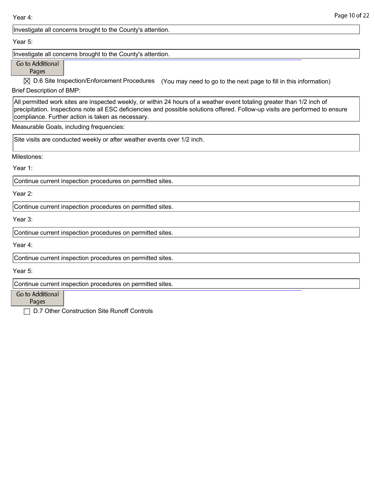Year 4:

Investigate all concerns brought to the County's attention.

Year 5:

Investigate all concerns brought to the County's attention.

Go to Additional

Pages

 $\boxtimes$  D.6 Site Inspection/Enforcement Procedures (You may need to go to the next page to fill in this information)

Brief Description of BMP:

All permitted work sites are inspected weekly, or within 24 hours of a weather event totaling greater than 1/2 inch of precipitation. Inspections note all ESC deficiencies and possible solutions offered. Follow-up visits are performed to ensure compliance. Further action is taken as necessary.

Measurable Goals, including frequencies:

Site visits are conducted weekly or after weather events over 1/2 inch.

Milestones:

Year 1:

Continue current inspection procedures on permitted sites.

Year 2:

Continue current inspection procedures on permitted sites.

Year 3:

Continue current inspection procedures on permitted sites.

Year 4:

Continue current inspection procedures on permitted sites.

Year 5:

Continue current inspection procedures on permitted sites.

Go to Additional

Pages

D.7 Other Construction Site Runoff Controls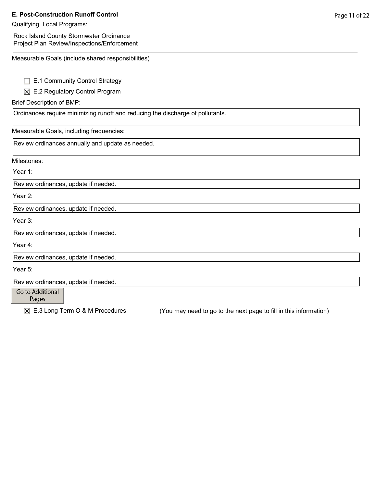# **E. Post-Construction Runoff Control**

# Qualifying Local Programs:

| Rock Island County Stormwater Ordinance<br>Project Plan Review/Inspections/Enforcement |                                                                   |
|----------------------------------------------------------------------------------------|-------------------------------------------------------------------|
| Measurable Goals (include shared responsibilities)                                     |                                                                   |
| E.1 Community Control Strategy                                                         |                                                                   |
| $\boxtimes$ E.2 Regulatory Control Program                                             |                                                                   |
| <b>Brief Description of BMP:</b>                                                       |                                                                   |
| Ordinances require minimizing runoff and reducing the discharge of pollutants.         |                                                                   |
| Measurable Goals, including frequencies:                                               |                                                                   |
| Review ordinances annually and update as needed.                                       |                                                                   |
| Milestones:                                                                            |                                                                   |
| Year 1:                                                                                |                                                                   |
| Review ordinances, update if needed.                                                   |                                                                   |
| Year 2:                                                                                |                                                                   |
| Review ordinances, update if needed.                                                   |                                                                   |
| Year 3:                                                                                |                                                                   |
| Review ordinances, update if needed.                                                   |                                                                   |
| Year 4:                                                                                |                                                                   |
| Review ordinances, update if needed.                                                   |                                                                   |
| Year 5:                                                                                |                                                                   |
| Review ordinances, update if needed.                                                   |                                                                   |
| Go to Additional<br>Pages                                                              |                                                                   |
| $\boxtimes$ E.3 Long Term O & M Procedures                                             | (You may need to go to the next page to fill in this information) |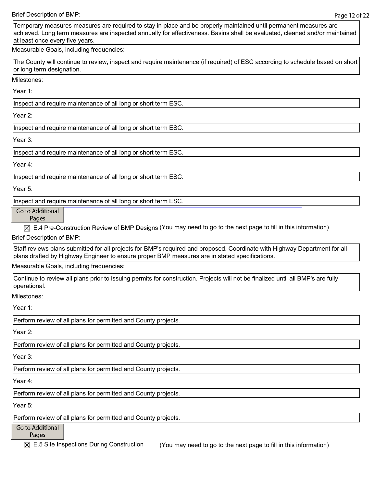Brief Description of BMP:

Temporary measures measures are required to stay in place and be properly maintained until permanent measures are achieved. Long term measures are inspected annually for effectiveness. Basins shall be evaluated, cleaned and/or maintained at least once every five years.

Measurable Goals, including frequencies:

The County will continue to review, inspect and require maintenance (if required) of ESC according to schedule based on short or long term designation.

Milestones:

Year 1:

Inspect and require maintenance of all long or short term ESC.

Year 2:

Inspect and require maintenance of all long or short term ESC.

Year 3:

Inspect and require maintenance of all long or short term ESC.

Year 4:

Inspect and require maintenance of all long or short term ESC.

Year 5:

Inspect and require maintenance of all long or short term ESC.

Go to Additional

Pages

 $\boxtimes$  E.4 Pre-Construction Review of BMP Designs (You may need to go to the next page to fill in this information) Brief Description of BMP:

Staff reviews plans submitted for all projects for BMP's required and proposed. Coordinate with Highway Department for all plans drafted by Highway Engineer to ensure proper BMP measures are in stated specifications.

Measurable Goals, including frequencies:

Continue to review all plans prior to issuing permits for construction. Projects will not be finalized until all BMP's are fully operational.

Milestones:

Year 1:

Perform review of all plans for permitted and County projects.

Year 2:

Perform review of all plans for permitted and County projects.

Year 3:

Perform review of all plans for permitted and County projects.

Year 4:

Perform review of all plans for permitted and County projects.

Year 5:

Perform review of all plans for permitted and County projects.

Go to Additional

Pages

 $\boxtimes$  E.5 Site Inspections During Construction (You may need to go to the next page to fill in this information)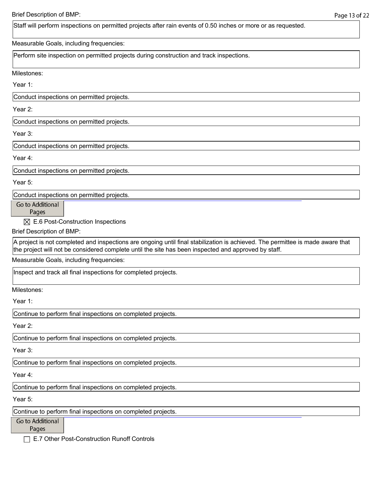Staff will perform inspections on permitted projects after rain events of 0.50 inches or more or as requested.

Measurable Goals, including frequencies:

Perform site inspection on permitted projects during construction and track inspections.

Milestones:

Year 1:

Conduct inspections on permitted projects.

Year 2:

Conduct inspections on permitted projects.

Year 3:

Conduct inspections on permitted projects.

Year 4:

Conduct inspections on permitted projects.

Year 5:

Conduct inspections on permitted projects.

Go to Additional

Pages

 $\boxtimes$  E.6 Post-Construction Inspections

Brief Description of BMP:

A project is not completed and inspections are ongoing until final stabilization is achieved. The permittee is made aware that the project will not be considered complete until the site has been inspected and approved by staff.

Measurable Goals, including frequencies:

Inspect and track all final inspections for completed projects.

Milestones:

Year 1:

Continue to perform final inspections on completed projects.

Year 2:

Continue to perform final inspections on completed projects.

Year 3:

Continue to perform final inspections on completed projects.

Year 4:

Continue to perform final inspections on completed projects.

Year 5:

Continue to perform final inspections on completed projects.

Go to Additional

Pages

E.7 Other Post-Construction Runoff Controls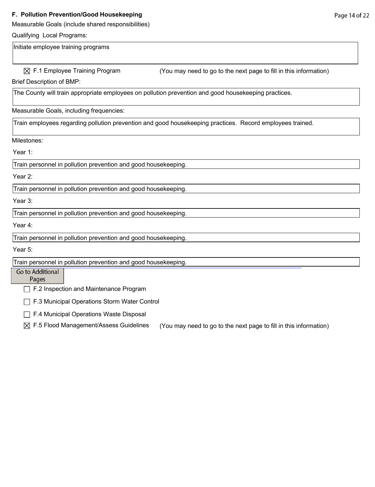#### **F. Pollution Prevention/Good Housekeeping**

Measurable Goals (include shared responsibilities)

#### Qualifying Local Programs:

Initiate employee training programs

 $\boxtimes$  F.1 Employee Training Program (You may need to go to the next page to fill in this information)

Brief Description of BMP:

The County will train appropriate employees on pollution prevention and good housekeeping practices.

Measurable Goals, including frequencies:

Train employees regarding pollution prevention and good housekeeping practices. Record employees trained.

#### Milestones:

Year 1:

Train personnel in pollution prevention and good housekeeping.

#### Year 2:

Train personnel in pollution prevention and good housekeeping.

Year 3:

Train personnel in pollution prevention and good housekeeping.

Year 4:

Train personnel in pollution prevention and good housekeeping.

Year 5:

Train personnel in pollution prevention and good housekeeping.

## Go to Additional

Pages

F.2 Inspection and Maintenance Program

F.3 Municipal Operations Storm Water Control

F.4 Municipal Operations Waste Disposal

 $\boxtimes$  F.5 Flood Management/Assess Guidelines (You may need to go to the next page to fill in this information)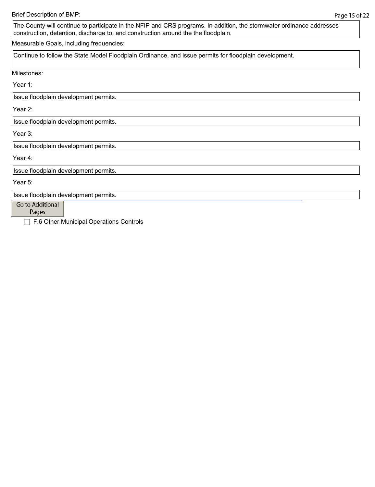The County will continue to participate in the NFIP and CRS programs. In addition, the stormwater ordinance addresses construction, detention, discharge to, and construction around the the floodplain.

Measurable Goals, including frequencies:

Continue to follow the State Model Floodplain Ordinance, and issue permits for floodplain development.

Milestones:

Year 1:

Issue floodplain development permits.

Year 2:

Issue floodplain development permits.

Year 3:

Issue floodplain development permits.

Year 4:

Issue floodplain development permits.

Year 5:

Issue floodplain development permits.

Go to Additional

Pages

F.6 Other Municipal Operations Controls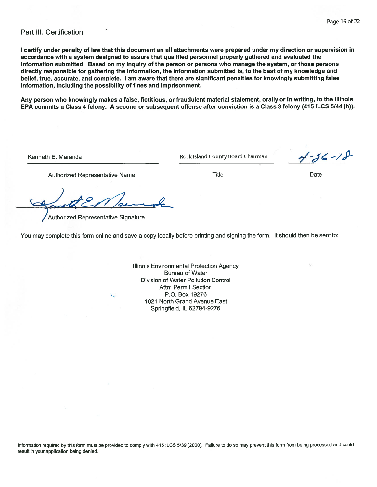### Part III. Certification

I certify under penalty of law that this document an all attachments were prepared under my direction or supervision in accordance with a system designed to assure that qualified personnel properly gathered and evaluated the information submitted. Based on my inquiry of the person or persons who manage the system, or those persons directly responsible for gathering the information, the information submitted is, to the best of my knowledge and belief, true, accurate, and complete. I am aware that there are significant penalties for knowingly submitting false information, including the possibility of fines and imprisonment.

Any person who knowingly makes a false, fictitious, or fraudulent material statement, orally or in writing, to the Illinois EPA commits a Class 4 felony. A second or subsequent offense after conviction is a Class 3 felony (415 ILCS 5/44 (h)).

Kenneth E. Maranda

Rock Island County Board Chairman

 $4 - 36 - 18$ 

**Title** 

Date

**Authorized Representative Name** 

Authorized Representative Signature

kJ.

You may complete this form online and save a copy locally before printing and signing the form. It should then be sent to:

Illinois Environmental Protection Agency **Bureau of Water** Division of Water Pollution Control Attn: Permit Section P.O. Box 19276 1021 North Grand Avenue East Springfield, IL 62794-9276

Information required by this form must be provided to comply with 415 ILCS 5/39 (2000). Failure to do so may prevent this form from being processed and could result in your application being denied.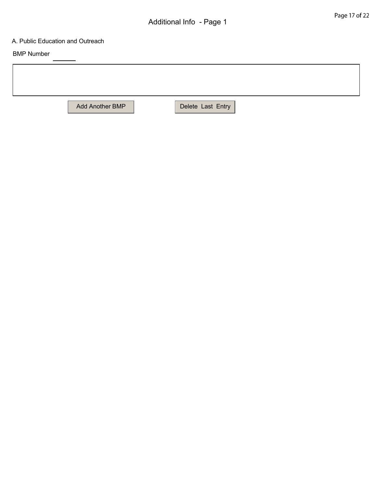## A. Public Education and Outreach

BMP Number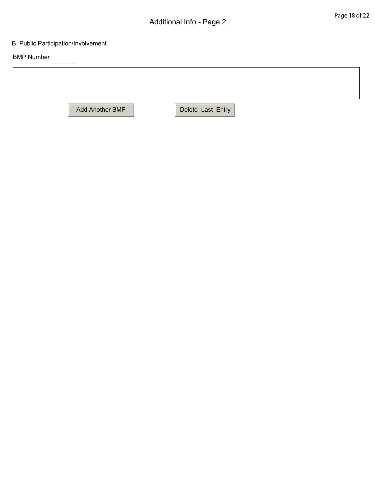## B. Public Participation/Involvement

BMP Number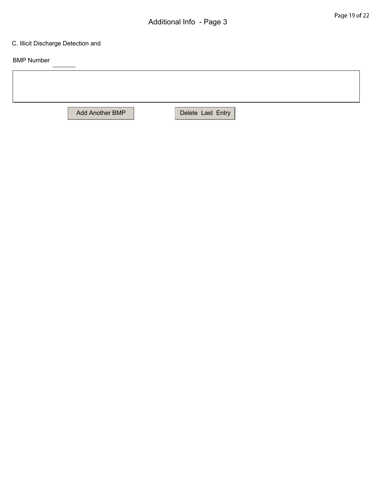## C. Illicit Discharge Detection and

BMP Number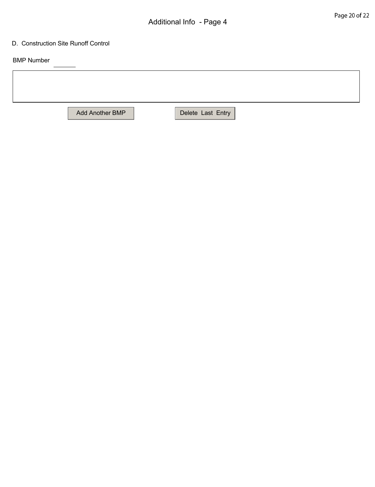#### D. Construction Site Runoff Control

BMP Number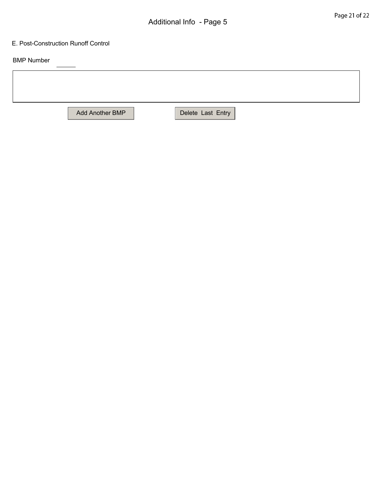#### E. Post-Construction Runoff Control

BMP Number